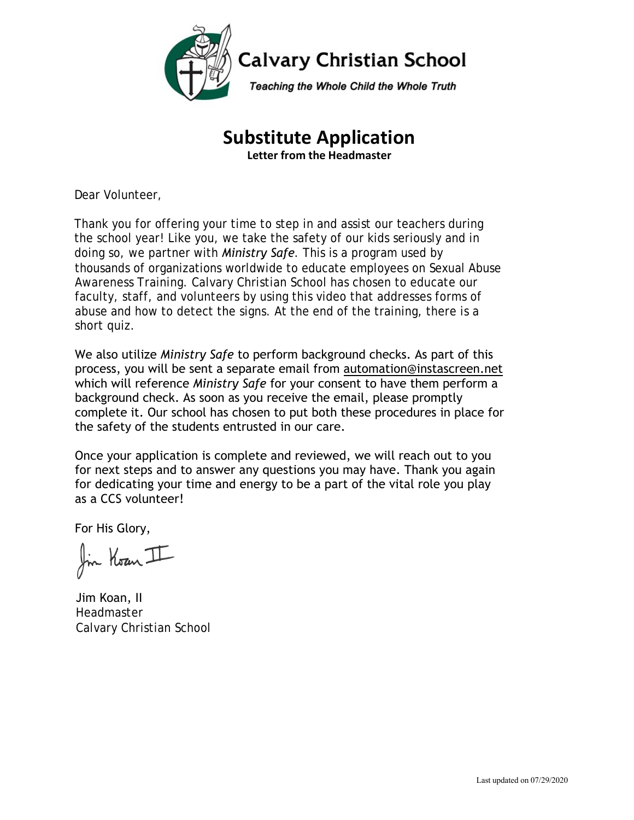

# **Substitute Application**

**Letter from the Headmaster**

Dear Volunteer,

Thank you for offering your time to step in and assist our teachers during the school year! Like you, we take the safety of our kids seriously and in doing so, we partner with *Ministry Safe*. This is a program used by thousands of organizations worldwide to educate employees on Sexual Abuse Awareness Training. Calvary Christian School has chosen to educate our faculty, staff, and volunteers by using this video that addresses forms of abuse and how to detect the signs. At the end of the training, there is a short quiz.

We also utilize *Ministry Safe* to perform background checks. As part of this process, you will be sent a separate email from automation@instascreen.net which will reference *Ministry Safe* for your consent to have them perform a background check. As soon as you receive the email, please promptly complete it. Our school has chosen to put both these procedures in place for the safety of the students entrusted in our care.

Once your application is complete and reviewed, we will reach out to you for next steps and to answer any questions you may have. Thank you again for dedicating your time and energy to be a part of the vital role you play as a CCS volunteer!

For His Glory,

fin Koan II

Jim Koan, II Headmaster Calvary Christian School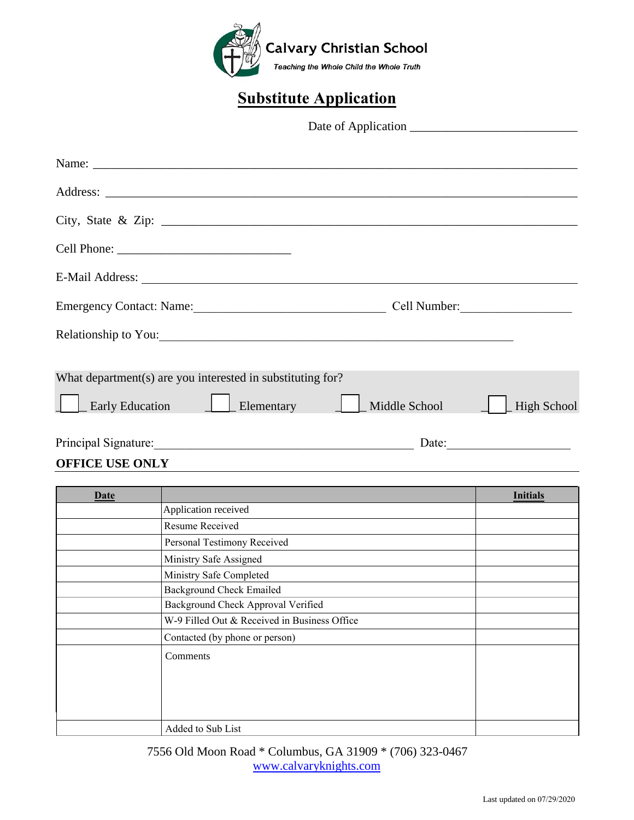

# **Substitute Application**

Date of Application \_\_\_\_\_\_\_\_\_\_\_\_\_\_\_\_\_\_\_\_\_\_\_\_\_\_\_

| Emergency Contact: Name: 2008. [2010]                                                                                                                                                                                          | Cell Number:          |                    |
|--------------------------------------------------------------------------------------------------------------------------------------------------------------------------------------------------------------------------------|-----------------------|--------------------|
| Relationship to You: 2000 and 2000 and 2000 and 2000 and 2000 and 2000 and 2000 and 2000 and 2000 and 2000 and 2000 and 2000 and 2000 and 2000 and 2000 and 2000 and 2000 and 2000 and 2000 and 2000 and 2000 and 2000 and 200 |                       |                    |
| What department(s) are you interested in substituting for?<br><b>Early Education</b><br>$\Box$ Elementary                                                                                                                      | Middle School         | <b>High School</b> |
|                                                                                                                                                                                                                                | Date: $\qquad \qquad$ |                    |

**OFFICE USE ONLY**

| Date |                                              | <b>Initials</b> |
|------|----------------------------------------------|-----------------|
|      | Application received                         |                 |
|      | Resume Received                              |                 |
|      | Personal Testimony Received                  |                 |
|      | Ministry Safe Assigned                       |                 |
|      | Ministry Safe Completed                      |                 |
|      | <b>Background Check Emailed</b>              |                 |
|      | Background Check Approval Verified           |                 |
|      | W-9 Filled Out & Received in Business Office |                 |
|      | Contacted (by phone or person)               |                 |
|      | Comments                                     |                 |
|      | Added to Sub List                            |                 |

7556 Old Moon Road \* Columbus, GA 31909 \* (706) 323-0467 [www.calvaryknights.com](http://www.calvaryknights.com/)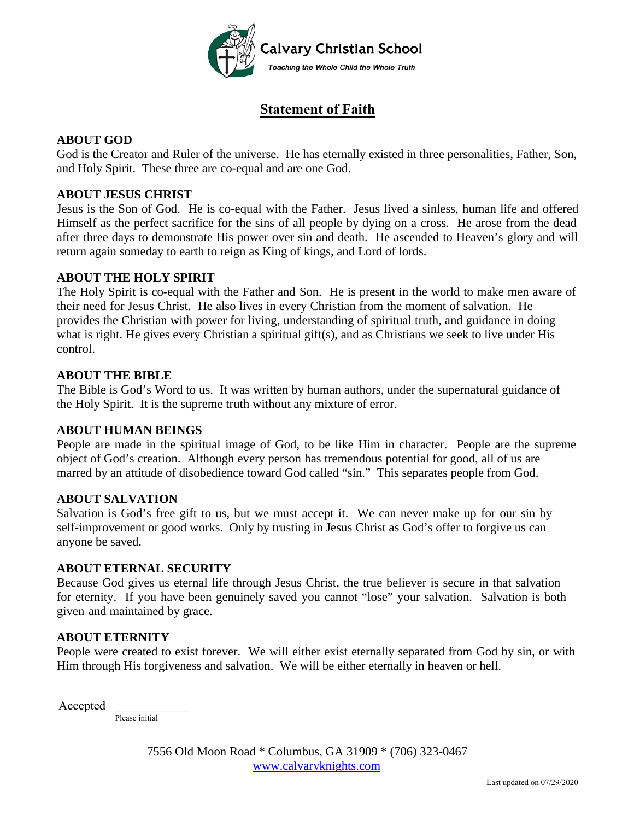

### **Statement of Faith**

### **ABOUT GOD**

God is the Creator and Ruler of the universe. He has eternally existed in three personalities, Father, Son, and Holy Spirit. These three are co-equal and are one God.

#### **ABOUT JESUS CHRIST**

Jesus is the Son of God. He is co-equal with the Father. Jesus lived a sinless, human life and offered Himself as the perfect sacrifice for the sins of all people by dying on a cross. He arose from the dead after three days to demonstrate His power over sin and death. He ascended to Heaven's glory and will return again someday to earth to reign as King of kings, and Lord of lords.

#### **ABOUT THE HOLY SPIRIT**

The Holy Spirit is co-equal with the Father and Son. He is present in the world to make men aware of their need for Jesus Christ. He also lives in every Christian from the moment of salvation. He provides the Christian with power for living, understanding of spiritual truth, and guidance in doing what is right. He gives every Christian a spiritual gift(s), and as Christians we seek to live under His control.

#### **ABOUT THE BIBLE**

The Bible is God's Word to us. It was written by human authors, under the supernatural guidance of the Holy Spirit. It is the supreme truth without any mixture of error.

#### **ABOUT HUMAN BEINGS**

People are made in the spiritual image of God, to be like Him in character. People are the supreme object of God's creation. Although every person has tremendous potential for good, all of us are marred by an attitude of disobedience toward God called "sin." This separates people from God.

#### **ABOUT SALVATION**

Salvation is God's free gift to us, but we must accept it. We can never make up for our sin by self-improvement or good works. Only by trusting in Jesus Christ as God's offer to forgive us can anyone be saved.

#### **ABOUT ETERNAL SECURITY**

Because God gives us eternal life through Jesus Christ, the true believer is secure in that salvation for eternity. If you have been genuinely saved you cannot "lose" your salvation. Salvation is both given and maintained by grace.

#### **ABOUT ETERNITY**

People were created to exist forever. We will either exist eternally separated from God by sin, or with Him through His forgiveness and salvation. We will be either eternally in heaven or hell.

Accepted \_\_\_\_\_\_\_\_\_\_\_\_

Please initial

7556 Old Moon Road \* Columbus, GA 31909 \* (706) 323-0467 [www.calvaryknights.com](http://www.calvaryknights.com/)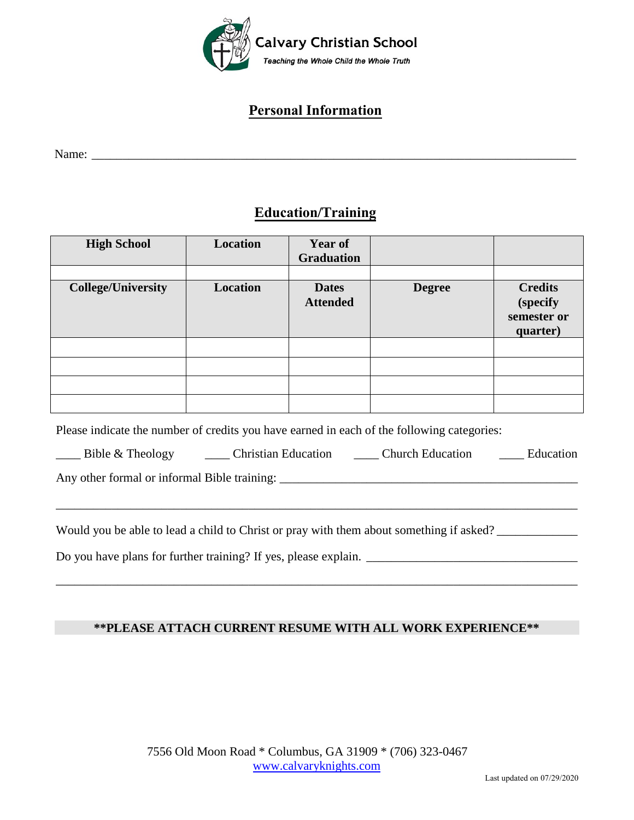

## **Personal Information**

Name: \_\_\_\_\_\_\_\_\_\_\_\_\_\_\_\_\_\_\_\_\_\_\_\_\_\_\_\_\_\_\_\_\_\_\_\_\_\_\_\_\_\_\_\_\_\_\_\_\_\_\_\_\_\_\_\_\_\_\_\_\_\_\_\_\_\_\_\_\_\_\_\_\_\_\_\_\_\_

### **Education/Training**

| <b>High School</b>        | Location | Year of<br><b>Graduation</b>    |               |                                                       |
|---------------------------|----------|---------------------------------|---------------|-------------------------------------------------------|
| <b>College/University</b> | Location | <b>Dates</b><br><b>Attended</b> | <b>Degree</b> | <b>Credits</b><br>(specify<br>semester or<br>quarter) |
|                           |          |                                 |               |                                                       |
|                           |          |                                 |               |                                                       |
|                           |          |                                 |               |                                                       |
|                           |          |                                 |               |                                                       |

Please indicate the number of credits you have earned in each of the following categories:

| Bible & Theology | <b>Christian Education</b> | <b>Church Education</b> | <b>Education</b> |
|------------------|----------------------------|-------------------------|------------------|
|------------------|----------------------------|-------------------------|------------------|

\_\_\_\_\_\_\_\_\_\_\_\_\_\_\_\_\_\_\_\_\_\_\_\_\_\_\_\_\_\_\_\_\_\_\_\_\_\_\_\_\_\_\_\_\_\_\_\_\_\_\_\_\_\_\_\_\_\_\_\_\_\_\_\_\_\_\_\_\_\_\_\_\_\_\_\_\_\_\_\_\_\_\_\_

Any other formal or informal Bible training: \_\_\_\_\_\_\_\_\_\_\_\_\_\_\_\_\_\_\_\_\_\_\_\_\_\_\_\_\_\_\_\_\_\_\_\_\_\_\_\_\_\_\_\_\_\_\_\_

Would you be able to lead a child to Christ or pray with them about something if asked?

Do you have plans for further training? If yes, please explain. \_\_\_\_\_\_\_\_\_\_\_\_\_\_\_\_\_\_\_\_\_\_\_\_\_\_\_\_\_\_\_\_\_\_

### **\*\*PLEASE ATTACH CURRENT RESUME WITH ALL WORK EXPERIENCE\*\***

\_\_\_\_\_\_\_\_\_\_\_\_\_\_\_\_\_\_\_\_\_\_\_\_\_\_\_\_\_\_\_\_\_\_\_\_\_\_\_\_\_\_\_\_\_\_\_\_\_\_\_\_\_\_\_\_\_\_\_\_\_\_\_\_\_\_\_\_\_\_\_\_\_\_\_\_\_\_\_\_\_\_\_\_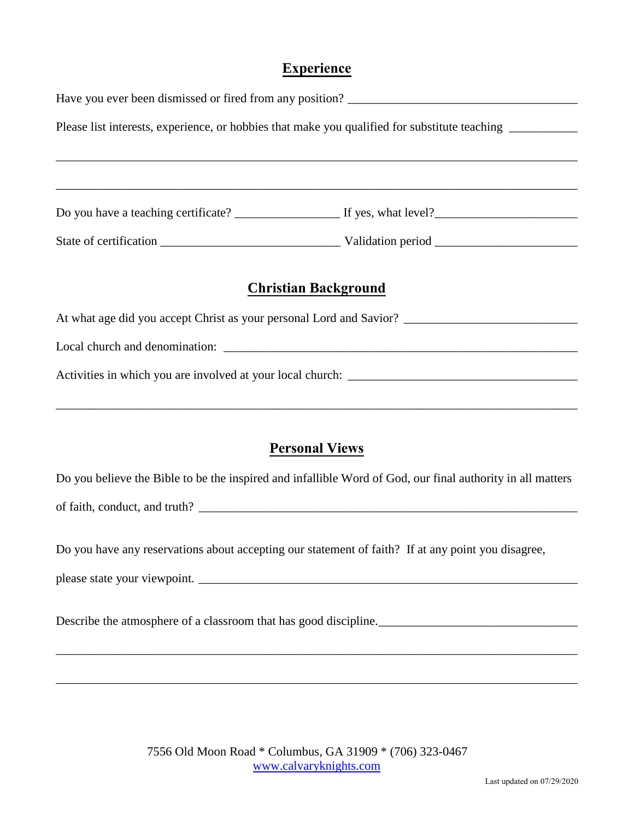### **Experience**

|  | Please list interests, experience, or hobbies that make you qualified for substitute teaching __________   |
|--|------------------------------------------------------------------------------------------------------------|
|  |                                                                                                            |
|  |                                                                                                            |
|  |                                                                                                            |
|  |                                                                                                            |
|  |                                                                                                            |
|  | <b>Christian Background</b>                                                                                |
|  |                                                                                                            |
|  |                                                                                                            |
|  |                                                                                                            |
|  |                                                                                                            |
|  |                                                                                                            |
|  | <b>Personal Views</b>                                                                                      |
|  | Do you believe the Bible to be the inspired and infallible Word of God, our final authority in all matters |

of faith, conduct, and truth? \_\_\_\_\_\_\_\_\_\_\_\_\_\_\_\_\_\_\_\_\_\_\_\_\_\_\_\_\_\_\_\_\_\_\_\_\_\_\_\_\_\_\_\_\_\_\_\_\_\_\_\_\_\_\_\_\_\_\_\_\_

Do you have any reservations about accepting our statement of faith? If at any point you disagree,

please state your viewpoint. \_\_\_\_\_\_\_\_\_\_\_\_\_\_\_\_\_\_\_\_\_\_\_\_\_\_\_\_\_\_\_\_\_\_\_\_\_\_\_\_\_\_\_\_\_\_\_\_\_\_\_\_\_\_\_\_\_\_\_\_\_

Describe the atmosphere of a classroom that has good discipline.

\_\_\_\_\_\_\_\_\_\_\_\_\_\_\_\_\_\_\_\_\_\_\_\_\_\_\_\_\_\_\_\_\_\_\_\_\_\_\_\_\_\_\_\_\_\_\_\_\_\_\_\_\_\_\_\_\_\_\_\_\_\_\_\_\_\_\_\_\_\_\_\_\_\_\_\_\_\_\_\_\_\_\_\_

\_\_\_\_\_\_\_\_\_\_\_\_\_\_\_\_\_\_\_\_\_\_\_\_\_\_\_\_\_\_\_\_\_\_\_\_\_\_\_\_\_\_\_\_\_\_\_\_\_\_\_\_\_\_\_\_\_\_\_\_\_\_\_\_\_\_\_\_\_\_\_\_\_\_\_\_\_\_\_\_\_\_\_\_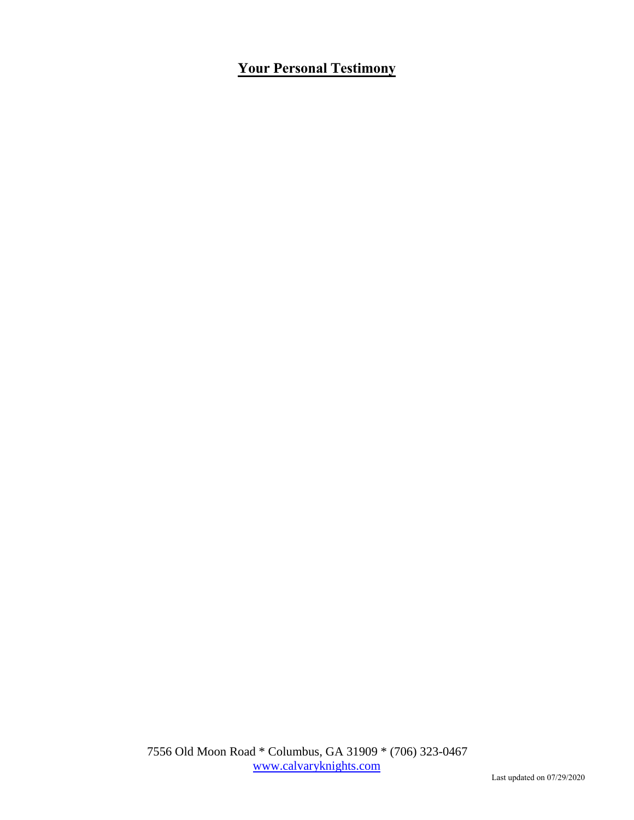## **Your Personal Testimony**